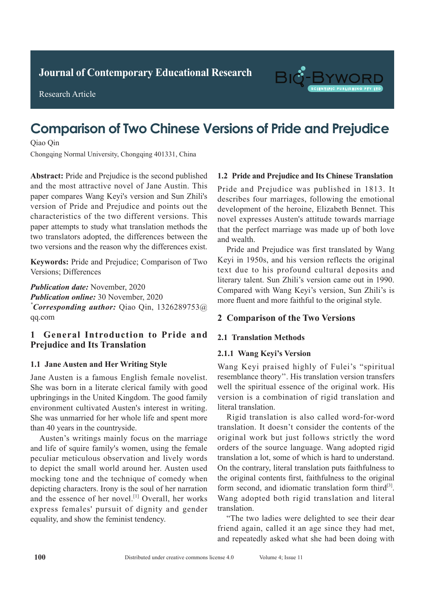**Journal of Clinical and Nursing Research Journal of Contemporary Educational Research**



Research Article



# **Comparison of Two Chinese Versions of Pride and Prejudice Diagnostic Value of Spiral Chest Engine Chest Engine Chest Engine Scan in a spiral Chest Engine Chest Engine Chest**

Qiao Qin

**A**  $\alpha$  **Pulmonary Tuberculosis Pulmonary Tuberculosis** Chongqing Normal University, Chongqing 401331, China

 $T_{\rm eff}$   $T_{\rm eff}$  of Chireng College, Chireng College, China  $T_{\rm eff}$  in the Mongolia, China  $T_{\rm eff}$ and the most difficult to hover of same ridism. This paper compares Wang Keyi's version and Sun Zhili's puper compares wang Reyrs version and san *Elimi*'s version of Pride and Prejudice and points out the version of 1 nuclear 1 regiunce and points out the characteristics of the two different versions. This  $\frac{60}{40}$  and  $\frac{60}{40}$  and  $\frac{1}{40}$  and  $\frac{1}{40}$  and  $\frac{1}{40}$  and  $\frac{1}{40}$  and  $\frac{1}{40}$ paper attempts to study what translation methods the clinical data of the clinical data of the clinical data of the clinical data of the clinical data of the clinical data of the clinical data of the clinical data of the c two translators adopted, the differences between the two versions and the reason why the differences exist. Abstract: Pride and Prejudice is the second published and the most attractive novel of Jane Austin. This pride and Prejudi

Keywords: Pride and Prejudice; Comparison of Two Versions; Differences  $\mathbf{r}$  in  $\mathbf{r}$  is the retrospectively analyzed. All **Reywords:** Fride and Frejudice, Comparison of Two

 $\mathbf{r}$  is detection rate of active pulmonary pulmonary pulmonary pulmonary pulmonary pulmonary pulmonary pulmonary pulmonary  $\mathbf{r}$  $\mu$  ubticution due. INOVERIDEL,  $2020$ *Resultation biline.* Sy indication, 2020 *\*Corresponding author:* Qiao Qin, 1326289753@  $\mathbf{q}\mathbf{q}$ .com **Publication date:** November, 2020 **Publication online:** 30 November, 2020 qq.com

#### 1 General Introduction to Pride and *r* Convention canonic voltage and<br>Desinding and Its Teanslation Prejudice and Its Translation

# 1.1 Jane Austen and Her Writing Style

which was significantly higher than that of  $\mathbf{S}^{\text{new}}$  is conventional that of conventional that of conventional that of conventional that  $\mathbf{S}^{\text{new}}$  is convenient to  $\mathbf{S}^{\text{new}}$  is convenient to  $\mathbf{S}^{\text{new}}$ Jane Austen is a famous English female novelist. She was born in a literate clerical family with good upbringings in the United Kingdom. The good family environment cultivated Austen's interest in writing. She was unmarried for her whole life and spent more than 40 years in the countryside.

Austen's writings mainly focus on the marriage and life of squire family's women, using the female peculiar meticulous observation and lively words mocking tone and the technique of comedy when depicting characters. Irony is the soul of her narration and the essence of her novel.<sup>[1]</sup> Overall, her works express females' pursuit of dignity and gender equality, and show the feminist tendency. to depict the small world around her. Austen used

#### **1.2 Pride and Prejudice and Its Chinese Translation**

Pride and Prejudice was published in 1813. It describes four marriages, following the emotional development of the heroine, Elizabeth Bennet. This novel expresses Austen's attitude towards marriage the early stages, or show symptoms such as the marriage that the perfect marriage was made up of both love and wealth.  $\frac{1}{2}$  and  $\frac{1}{2}$  be as  $\frac{1}{2}$  becomes containing in the asymptomatic intervals of  $\frac{1}{2}$ 

Pride and Prejudice was first translated by Wang Reyi in 1950s, and his version reflects the original text due to his profound cultural deposits and text due to his profound cultural deposits and term and to this procedure center at appears and literary talent. Sun Zhili's version came out in 1990. ntetary talent: Sun Zhin's version earlie out in 1990.<br>Compared with Wang Keyi's version, Sun Zhili's is compared with wang regy is version, sun main s to<br>more fluent and more faithful to the original style. after the infection with the construction with the construction of  $\alpha$ .

#### or the immunity decreases. Therefore, early diagnosis 2 Comparison of the Two Versions  $\blacksquare$

#### Pathological examination is the gold standard for **2.1 Translation Methods**

# 2.1.1 Wang Keyi's Version

suitable for widespread promotion. Chest X-ray has the Wang Keyi praised highly of Fulei's "spiritual resemblance theory''. His translation version transfers well the spiritual essence of the original work. His version is a combination of rigid translation and  $\alpha$  and  $\alpha$  find an effective diagnostic method for active diagnostic method for active diagnosis literal translation.

Rigid translation is also called word-for-word translation. It doesn't consider the contents of the original work but just follows strictly the word translation a lot, some of which is hard to understand. **1.1 General information** the original contents first, faithfulness to the original **1 Information and methods** form second, and idiomatic translation form third<sup>[3]</sup>. Wang adopted both rigid translation and literal hansianon.<br>Were 2018 to November 2019 were 2019 were 2019 were 2019 were 2019 were 2019 were 2019 were 2019 were 2019 wer orders of the source language. Wang adopted rigid On the contrary, literal translation puts faithfulness to translation.

"The two ladies were delighted to see their dear friend again, called it an age since they had met, and repeatedly asked what she had been doing with conventional chest X-ray scan and spiral CT chest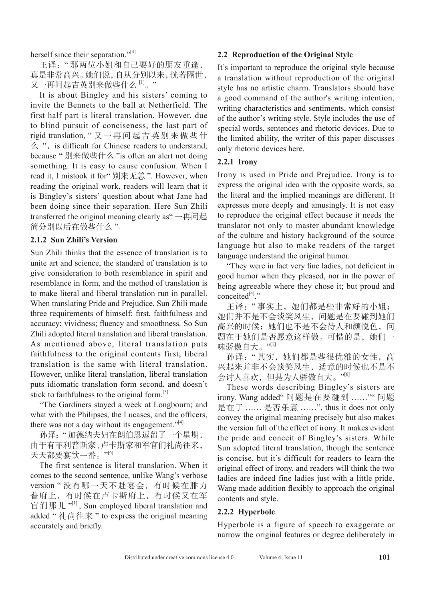herself since their separation."<sup>[4]</sup>

王译:" 那两位小姐和自己要好的朋友重逢, 真是非常高兴。她们说,自从分别以来,恍若隔世, 又一再问起吉英别来做些什么 [1]。"

It is about Bingley and his sisters' coming to invite the Bennets to the ball at Netherfield. The first half part is literal translation. However, due to blind pursuit of conciseness, the last part of rigid translation, " 又一再问起吉英别来做些什  $\triangle$  ", is difficult for Chinese readers to understand, because " 别来做些什么 "is often an alert not doing something. It is easy to cause confusion. When I read it, I mistook it for" 别来无恙 ". However, when reading the original work, readers will learn that it is Bingley's sisters' question about what Jane had been doing since their separation. Here Sun Zhili transferred the original meaning clearly as" 一再问起 简分别以后在做些什么 ".

#### **2.1.2 Sun Zhili's Version**

Sun Zhili thinks that the essence of translation is to unite art and science, the standard of translation is to give consideration to both resemblance in spirit and resemblance in form, and the method of translation is to make literal and liberal translation run in parallel. When translating Pride and Prejudice, Sun Zhili made three requirements of himself: first, faithfulness and accuracy; vividness; fluency and smoothness. So Sun Zhili adopted literal translation and liberal translation. As mentioned above, literal translation puts faithfulness to the original contents first, liberal translation is the same with literal translation. However, unlike literal translation, liberal translation puts idiomatic translation form second, and doesn't stick to faithfulness to the original form. $^{[3]}$ 

"The Gardiners stayed a week at Longbourn; and what with the Philipses, the Lucases, and the officers, there was not a day without its engagement."<sup>[4]</sup>

孙译:"加德纳夫妇在朗伯恩逗留了一个星期, 由于有菲利普斯家、卢卡斯家和军官们礼尚往来, 天天都要宴饮一番。" [6]

The first sentence is literal translation. When it comes to the second sentence, unlike Wang's verbose version " 没有哪一天不赴宴会,有时候在腓力 普府上,有时候在卢卡斯府上,有时候又在军 官们那儿"<sup>[1]</sup>, Sun employed liberal translation and added " 礼尚往来 " to express the original meaning accurately and briefly.

#### **2.2 Reproduction of the Original Style**

It's important to reproduce the original style because a translation without reproduction of the original style has no artistic charm. Translators should have a good command of the author's writing intention, writing characteristics and sentiments, which consist of the author's writing style. Style includes the use of special words, sentences and rhetoric devices. Due to the limited ability, the writer of this paper discusses only rhetoric devices here.

### **2.2.1 Irony**

Irony is used in Pride and Prejudice. Irony is to express the original idea with the opposite words, so the literal and the implied meanings are different. It expresses more deeply and amusingly. It is not easy to reproduce the original effect because it needs the translator not only to master abundant knowledge of the culture and history background of the source language but also to make readers of the target language understand the original humor.

"They were in fact very fine ladies, not deficient in good humor when they pleased, nor in the power of being agreeable where they chose it; but proud and conceited $[4]$ ."

王译:" 事实上,她们都是些非常好的小姐; 她们并不是不会谈笑风生,问题是在要碰到她们 高兴的时候;她们也不是不会待人和颜悦色,问 题在于她们是否愿意这样做。可惜的是,她们一 味骄傲自大。"[1]

孙译:" 其实,她们都是些很优雅的女性,高 兴起来并非不会谈笑风生,适意的时候也不是不 会讨人喜欢,但是为人骄傲自大。"[6]

These words describing Bingley's sisters are irony. Wang added" 问题是在要碰到 ……"" 问题 是在于 …… 是否乐意 ……", thus it does not only convey the original meaning precisely but also makes the version full of the effect of irony. It makes evident the pride and conceit of Bingley's sisters. While Sun adopted literal translation, though the sentence is concise, but it's difficult for readers to learn the original effect of irony, and readers will think the two ladies are indeed fine ladies just with a little pride. Wang made addition flexibly to approach the original contents and style.

# **2.2.2 Hyperbole**

Hyperbole is a figure of speech to exaggerate or narrow the original features or degree deliberately in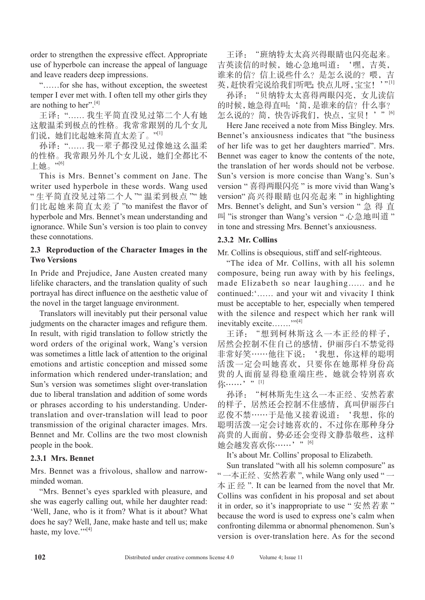order to strengthen the expressive effect. Appropriate use of hyperbole can increase the appeal of language and leave readers deep impressions.

"……for she has, without exception, the sweetest temper I ever met with. I often tell my other girls they are nothing to her".<sup>[4]</sup>

王译:"…… 我生平简直没见过第二个人有她 这般温柔到极点的性格。我常常跟别的几个女儿 们说,她们比起她来简直太差了。"<sup>[1]</sup>

孙译:"…… 我一辈子都没见过像她这么温柔 的性格。我常跟另外几个女儿说,她们全都比不 上她。" $^{\prime\prime\prime}}$ 

This is Mrs. Bennet's comment on Jane. The writer used hyperbole in these words. Wang used " 生平简直没见过第二个人 "" 温柔到极点 "" 她 们比起她来简直太差了 "to manifest the flavor of hyperbole and Mrs. Bennet's mean understanding and ignorance. While Sun's version is too plain to convey these connotations.

### **2.3 Reproduction of the Character Images in the Two Versions**

In Pride and Prejudice, Jane Austen created many lifelike characters, and the translation quality of such portrayal has direct influence on the aesthetic value of the novel in the target language environment.

Translators will inevitably put their personal value judgments on the character images and refigure them. In result, with rigid translation to follow strictly the word orders of the original work, Wang's version was sometimes a little lack of attention to the original emotions and artistic conception and missed some information which rendered under-translation; and Sun's version was sometimes slight over-translation due to liberal translation and addition of some words or phrases according to his understanding. Undertranslation and over-translation will lead to poor transmission of the original character images. Mrs. Bennet and Mr. Collins are the two most clownish people in the book.

# **2.3.1 Mrs. Bennet**

Mrs. Bennet was a frivolous, shallow and narrowminded woman.

"Mrs. Bennet's eyes sparkled with pleasure, and she was eagerly calling out, while her daughter read: 'Well, Jane, who is it from? What is it about? What does he say? Well, Jane, make haste and tell us; make haste, my love." $[4]$ 

王译: "班纳特太太高兴得眼睛也闪亮起来。 吉英读信的时候,她心急地叫道:'嘿,吉英, 谁来的信?信上说些什么?是怎么说的?喂,吉 英,赶快看完说给我们听吧;快点儿呀,宝宝!'"[1] 孙译:"贝纳特太太喜得两眼闪亮,女儿读信

的时候,她急得直叫:'简,是谁来的信?什么事? 怎么说的?简,快告诉我们,快点,宝贝!'"[6]

Here Jane received a note from Miss Bingley. Mrs. Bennet's anxiousness indicates that "the business of her life was to get her daughters married". Mrs. Bennet was eager to know the contents of the note, the translation of her words should not be verbose. Sun's version is more concise than Wang's. Sun's version " 喜得两眼闪亮 " is more vivid than Wang's version" 高兴得眼睛也闪亮起来 " in highlighting Mrs. Bennet's delight, and Sun's version " 急 得 直 叫 "is stronger than Wang's version " 心急地叫道 " in tone and stressing Mrs. Bennet's anxiousness.

# **2.3.2 Mr. Collins**

Mr. Collins is obsequious, stiff and self-righteous.

"The idea of Mr. Collins, with all his solemn composure, being run away with by his feelings, made Elizabeth so near laughing…… and he continued:'…… and your wit and vivacity I think must be acceptable to her, especially when tempered with the silence and respect which her rank will inevitably excite…….<sup>""[4]</sup>

王译:"想到柯林斯这么一本正经的样子, 居然会控制不住自己的感情,伊丽莎白不禁觉得 非常好笑……他往下说:'我想,你这样的聪明 活泼一定会叫她喜欢,只要你在她那样身份高 贵的人面前显得稳重端庄些,她就会特别喜欢 你……'"[1]

孙译: "柯林斯先生这么一本正经、安然若素 的样子,居然还会控制不住感情,真叫伊丽莎白 忍俊不禁……于是他又接着说道:'我想,你的 聪明活泼一定会讨她喜欢的,不过你在那种身分 高贵的人面前,势必还会变得文静恭敬些,这样 她会越发喜欢你……'"[6]

It's about Mr. Collins' proposal to Elizabeth.

Sun translated "with all his solemn composure" as " 一本正经、安然若素 ", while Wang only used " 一 本正经 ". It can be learned from the novel that Mr. Collins was confident in his proposal and set about it in order, so it's inappropriate to use " 安然若素 " because the word is used to express one's calm when confronting dilemma or abnormal phenomenon. Sun's version is over-translation here. As for the second